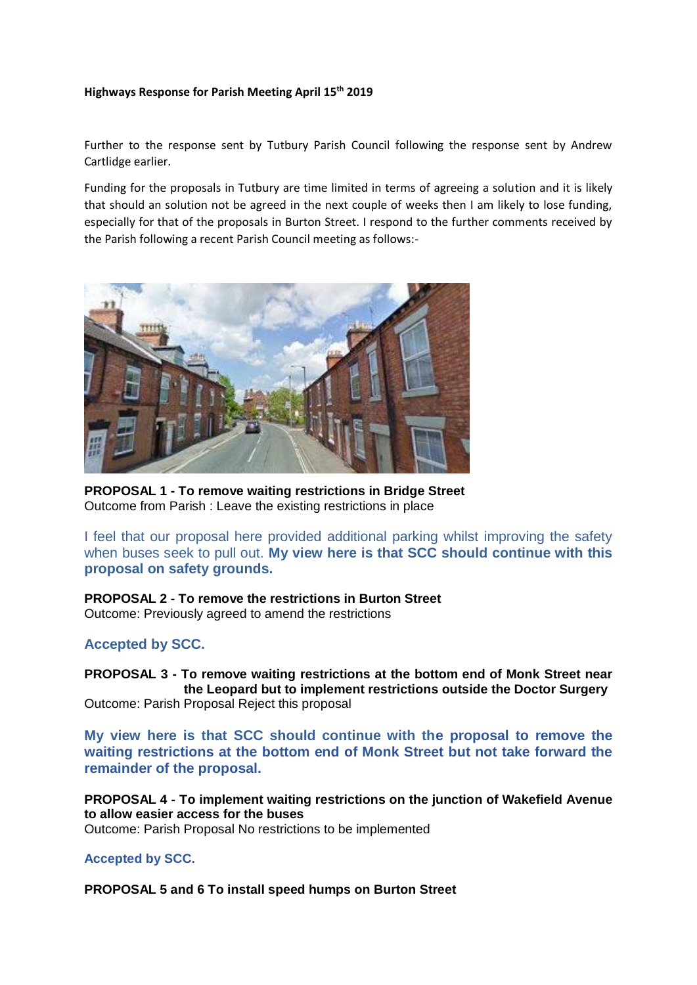#### **Highways Response for Parish Meeting April 15th 2019**

Further to the response sent by Tutbury Parish Council following the response sent by Andrew Cartlidge earlier.

Funding for the proposals in Tutbury are time limited in terms of agreeing a solution and it is likely that should an solution not be agreed in the next couple of weeks then I am likely to lose funding, especially for that of the proposals in Burton Street. I respond to the further comments received by the Parish following a recent Parish Council meeting as follows:-



**PROPOSAL 1 - To remove waiting restrictions in Bridge Street** Outcome from Parish : Leave the existing restrictions in place

I feel that our proposal here provided additional parking whilst improving the safety when buses seek to pull out. **My view here is that SCC should continue with this proposal on safety grounds.**

**PROPOSAL 2 - To remove the restrictions in Burton Street** Outcome: Previously agreed to amend the restrictions

## **Accepted by SCC.**

**PROPOSAL 3 - To remove waiting restrictions at the bottom end of Monk Street near the Leopard but to implement restrictions outside the Doctor Surgery** Outcome: Parish Proposal Reject this proposal

**My view here is that SCC should continue with the proposal to remove the waiting restrictions at the bottom end of Monk Street but not take forward the remainder of the proposal.**

**PROPOSAL 4 - To implement waiting restrictions on the junction of Wakefield Avenue to allow easier access for the buses** Outcome: Parish Proposal No restrictions to be implemented

## **Accepted by SCC.**

**PROPOSAL 5 and 6 To install speed humps on Burton Street**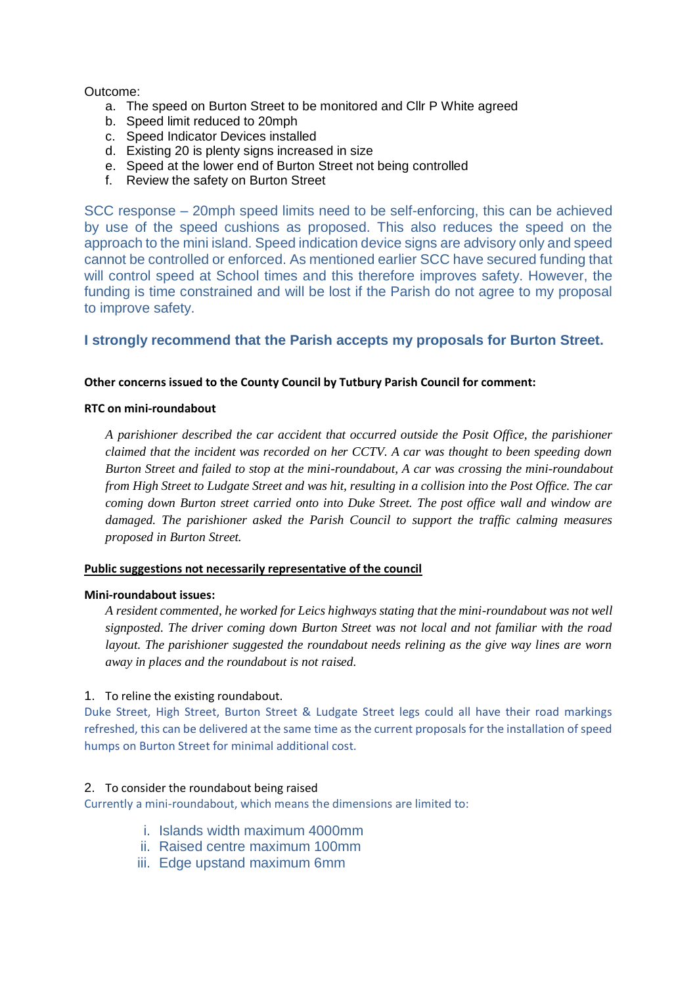Outcome:

- a. The speed on Burton Street to be monitored and Cllr P White agreed
- b. Speed limit reduced to 20mph
- c. Speed Indicator Devices installed
- d. Existing 20 is plenty signs increased in size
- e. Speed at the lower end of Burton Street not being controlled
- f. Review the safety on Burton Street

SCC response – 20mph speed limits need to be self-enforcing, this can be achieved by use of the speed cushions as proposed. This also reduces the speed on the approach to the mini island. Speed indication device signs are advisory only and speed cannot be controlled or enforced. As mentioned earlier SCC have secured funding that will control speed at School times and this therefore improves safety. However, the funding is time constrained and will be lost if the Parish do not agree to my proposal to improve safety.

# **I strongly recommend that the Parish accepts my proposals for Burton Street.**

## **Other concerns issued to the County Council by Tutbury Parish Council for comment:**

#### **RTC on mini-roundabout**

*A parishioner described the car accident that occurred outside the Posit Office, the parishioner claimed that the incident was recorded on her CCTV. A car was thought to been speeding down Burton Street and failed to stop at the mini-roundabout, A car was crossing the mini-roundabout from High Street to Ludgate Street and was hit, resulting in a collision into the Post Office. The car coming down Burton street carried onto into Duke Street. The post office wall and window are damaged. The parishioner asked the Parish Council to support the traffic calming measures proposed in Burton Street.*

#### **Public suggestions not necessarily representative of the council**

#### **Mini-roundabout issues:**

*A resident commented, he worked for Leics highways stating that the mini-roundabout was not well signposted. The driver coming down Burton Street was not local and not familiar with the road layout. The parishioner suggested the roundabout needs relining as the give way lines are worn away in places and the roundabout is not raised.*

#### 1. To reline the existing roundabout.

Duke Street, High Street, Burton Street & Ludgate Street legs could all have their road markings refreshed, this can be delivered at the same time as the current proposals for the installation of speed humps on Burton Street for minimal additional cost.

#### 2. To consider the roundabout being raised

Currently a mini-roundabout, which means the dimensions are limited to:

- i. Islands width maximum 4000mm
- ii. Raised centre maximum 100mm
- iii. Edge upstand maximum 6mm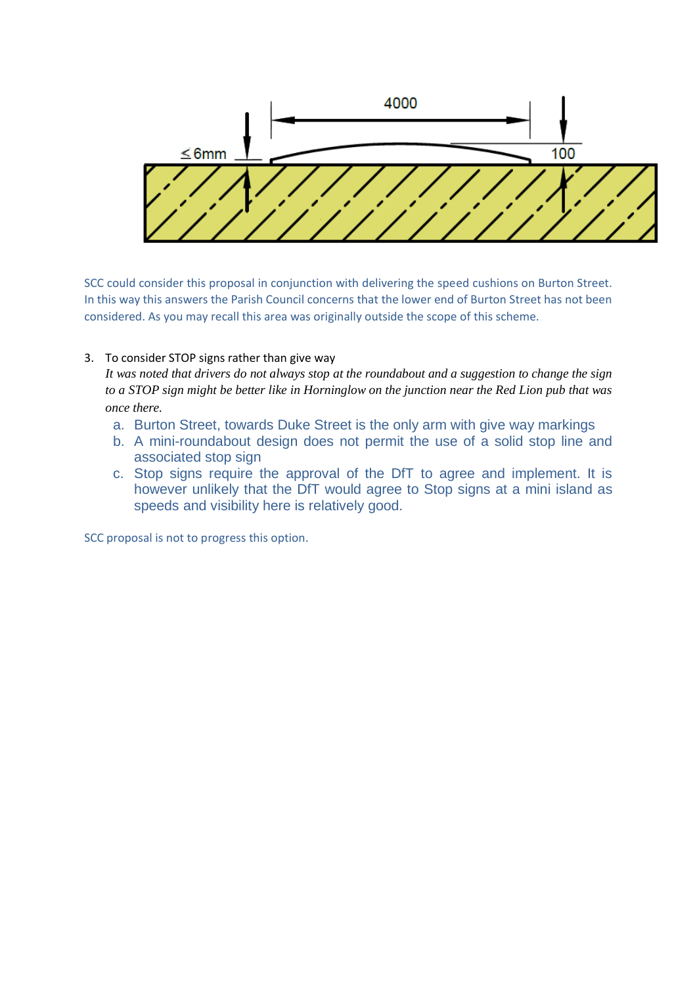

SCC could consider this proposal in conjunction with delivering the speed cushions on Burton Street. In this way this answers the Parish Council concerns that the lower end of Burton Street has not been considered. As you may recall this area was originally outside the scope of this scheme.

### 3. To consider STOP signs rather than give way

*It was noted that drivers do not always stop at the roundabout and a suggestion to change the sign to a STOP sign might be better like in Horninglow on the junction near the Red Lion pub that was once there.*

- a. Burton Street, towards Duke Street is the only arm with give way markings
- b. A mini-roundabout design does not permit the use of a solid stop line and associated stop sign
- c. Stop signs require the approval of the DfT to agree and implement. It is however unlikely that the DfT would agree to Stop signs at a mini island as speeds and visibility here is relatively good.

SCC proposal is not to progress this option.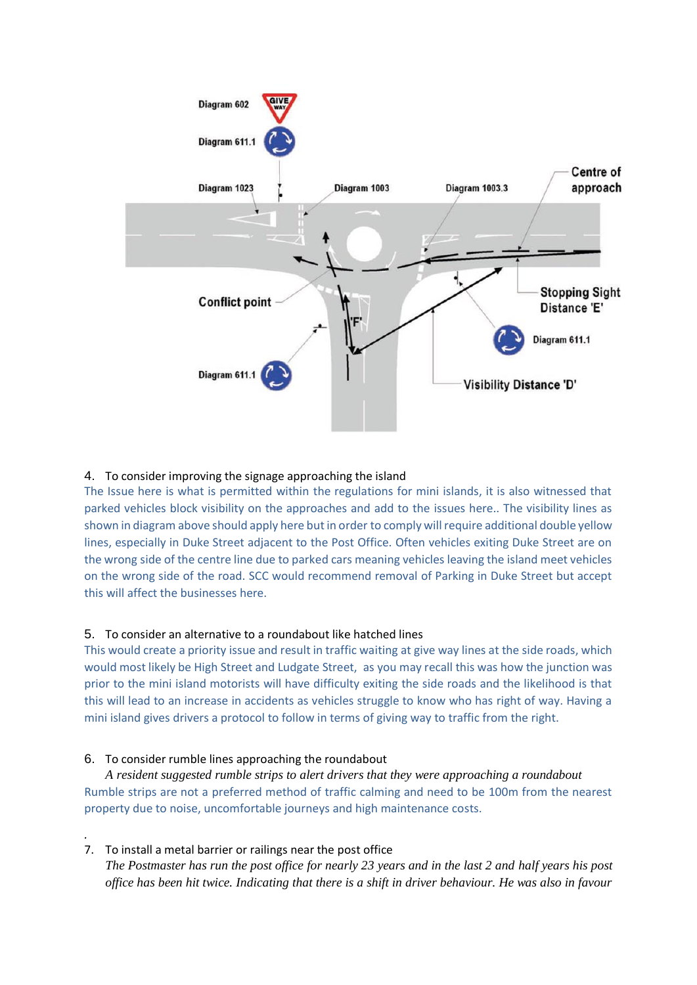

### 4. To consider improving the signage approaching the island

The Issue here is what is permitted within the regulations for mini islands, it is also witnessed that parked vehicles block visibility on the approaches and add to the issues here.. The visibility lines as shown in diagram above should apply here but in order to comply will require additional double yellow lines, especially in Duke Street adjacent to the Post Office. Often vehicles exiting Duke Street are on the wrong side of the centre line due to parked cars meaning vehicles leaving the island meet vehicles on the wrong side of the road. SCC would recommend removal of Parking in Duke Street but accept this will affect the businesses here.

#### 5. To consider an alternative to a roundabout like hatched lines

This would create a priority issue and result in traffic waiting at give way lines at the side roads, which would most likely be High Street and Ludgate Street, as you may recall this was how the junction was prior to the mini island motorists will have difficulty exiting the side roads and the likelihood is that this will lead to an increase in accidents as vehicles struggle to know who has right of way. Having a mini island gives drivers a protocol to follow in terms of giving way to traffic from the right.

#### 6. To consider rumble lines approaching the roundabout

*A resident suggested rumble strips to alert drivers that they were approaching a roundabout* Rumble strips are not a preferred method of traffic calming and need to be 100m from the nearest property due to noise, uncomfortable journeys and high maintenance costs.

#### 7. To install a metal barrier or railings near the post office

*.*

*The Postmaster has run the post office for nearly 23 years and in the last 2 and half years his post office has been hit twice. Indicating that there is a shift in driver behaviour. He was also in favour*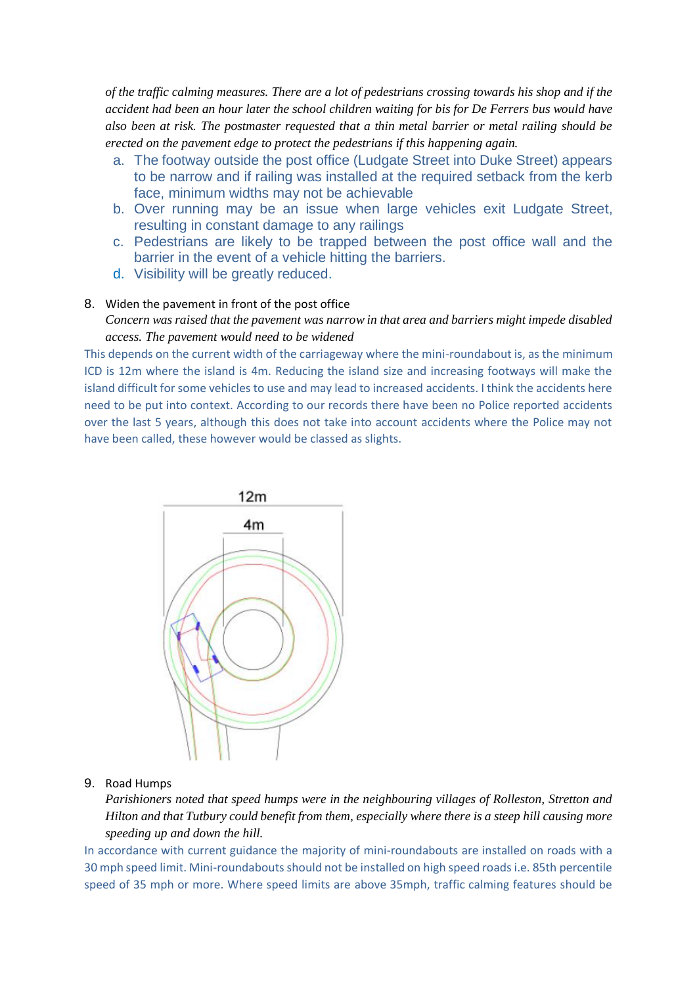*of the traffic calming measures. There are a lot of pedestrians crossing towards his shop and if the accident had been an hour later the school children waiting for bis for De Ferrers bus would have also been at risk. The postmaster requested that a thin metal barrier or metal railing should be erected on the pavement edge to protect the pedestrians if this happening again.*

- a. The footway outside the post office (Ludgate Street into Duke Street) appears to be narrow and if railing was installed at the required setback from the kerb face, minimum widths may not be achievable
- b. Over running may be an issue when large vehicles exit Ludgate Street, resulting in constant damage to any railings
- c. Pedestrians are likely to be trapped between the post office wall and the barrier in the event of a vehicle hitting the barriers.
- d. Visibility will be greatly reduced.

#### 8. Widen the pavement in front of the post office

*Concern was raised that the pavement was narrow in that area and barriers might impede disabled access. The pavement would need to be widened*

This depends on the current width of the carriageway where the mini-roundabout is, as the minimum ICD is 12m where the island is 4m. Reducing the island size and increasing footways will make the island difficult for some vehicles to use and may lead to increased accidents. I think the accidents here need to be put into context. According to our records there have been no Police reported accidents over the last 5 years, although this does not take into account accidents where the Police may not have been called, these however would be classed as slights.



#### 9. Road Humps

*Parishioners noted that speed humps were in the neighbouring villages of Rolleston, Stretton and Hilton and that Tutbury could benefit from them, especially where there is a steep hill causing more speeding up and down the hill.*

In accordance with current guidance the majority of mini-roundabouts are installed on roads with a 30 mph speed limit. Mini-roundabouts should not be installed on high speed roads i.e. 85th percentile speed of 35 mph or more. Where speed limits are above 35mph, traffic calming features should be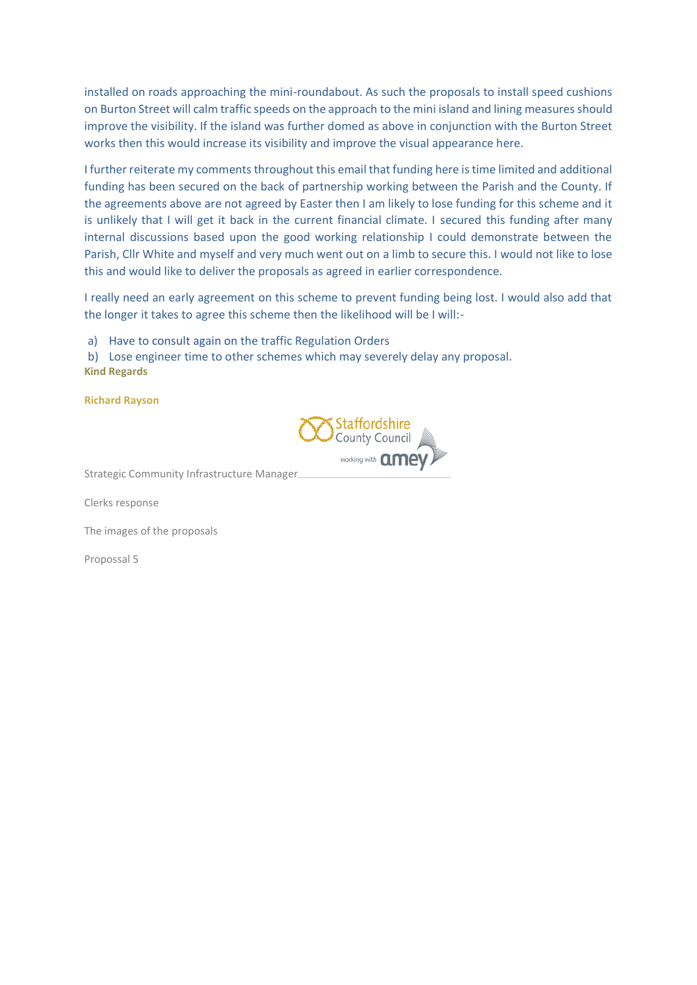installed on roads approaching the mini-roundabout. As such the proposals to install speed cushions on Burton Street will calm traffic speeds on the approach to the mini island and lining measures should improve the visibility. If the island was further domed as above in conjunction with the Burton Street works then this would increase its visibility and improve the visual appearance here.

I further reiterate my comments throughout this email that funding here is time limited and additional funding has been secured on the back of partnership working between the Parish and the County. If the agreements above are not agreed by Easter then I am likely to lose funding for this scheme and it is unlikely that I will get it back in the current financial climate. I secured this funding after many internal discussions based upon the good working relationship I could demonstrate between the Parish, Cllr White and myself and very much went out on a limb to secure this. I would not like to lose this and would like to deliver the proposals as agreed in earlier correspondence.

I really need an early agreement on this scheme to prevent funding being lost. I would also add that the longer it takes to agree this scheme then the likelihood will be I will:-

a) Have to consult again on the traffic Regulation Orders

b) Lose engineer time to other schemes which may severely delay any proposal. **Kind Regards**

**Richard Rayson**



Strategic Community Infrastructure Manager

Clerks response

The images of the proposals

Propossal 5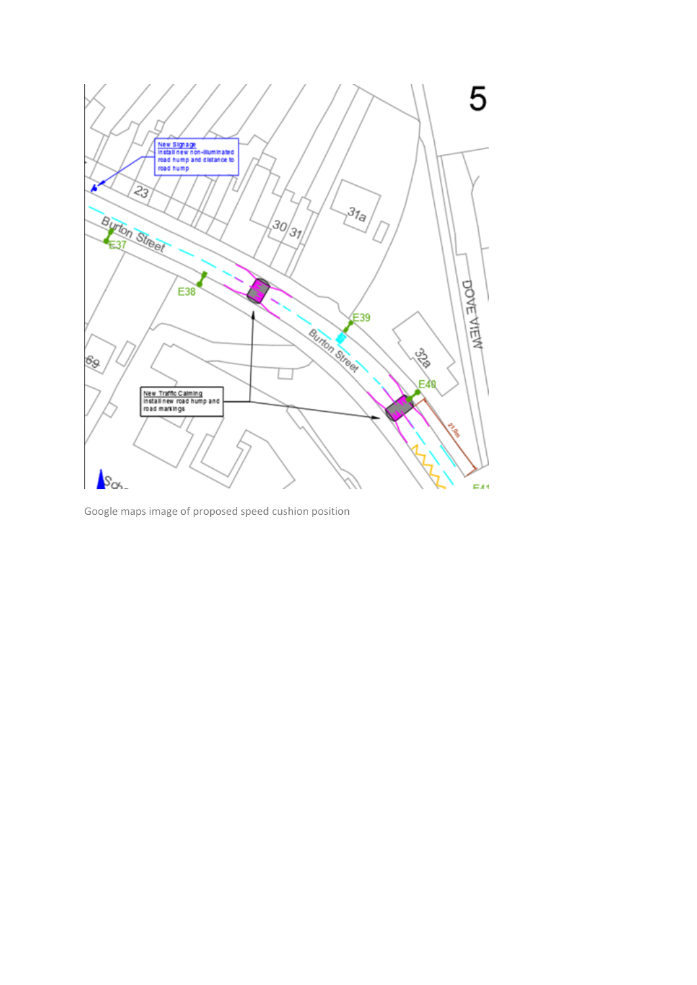

Google maps image of proposed speed cushion position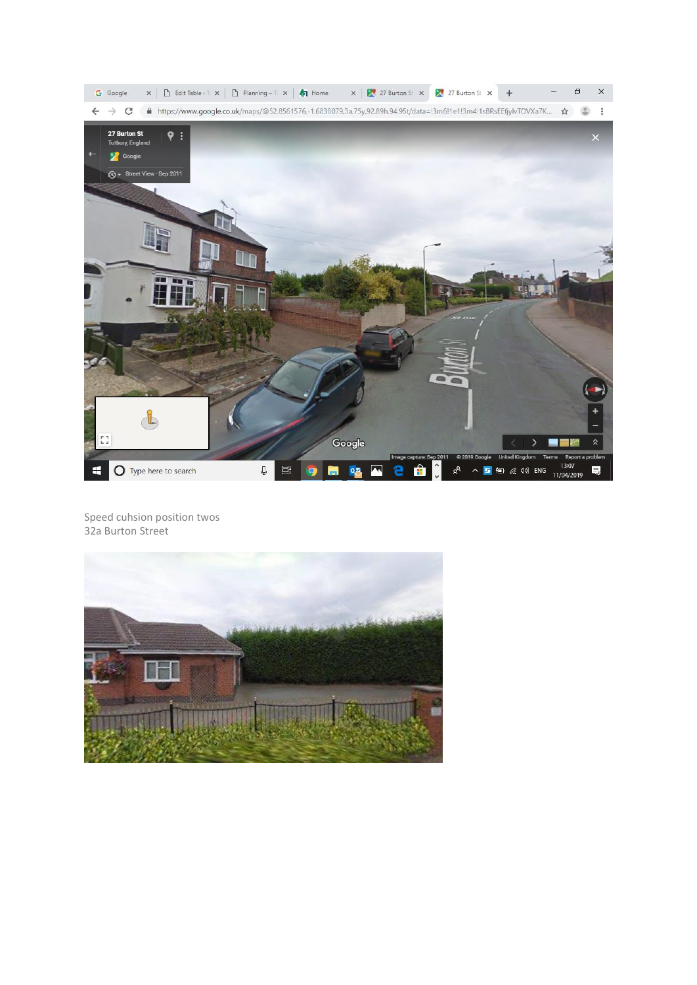

Speed cuhsion position twos 32a Burton Street